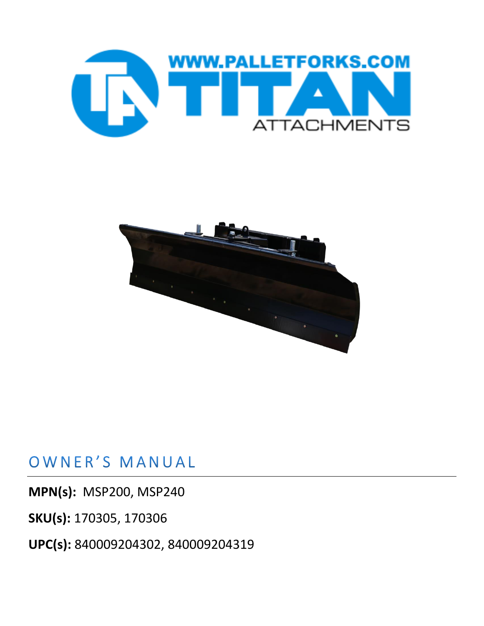



## OWNER'S MANUAL

**MPN(s):** MSP200, MSP240

**SKU(s):** 170305, 170306

**UPC(s):** 840009204302, 840009204319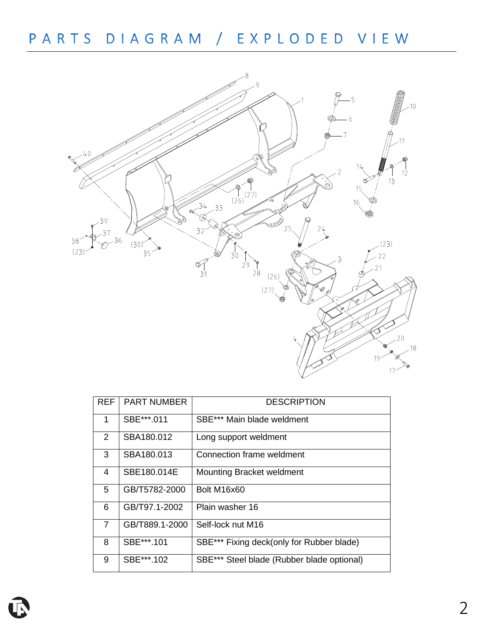PARTS DIAGRAM / EXPLODED VIEW



| <b>REF</b>     | <b>PART NUMBER</b> | <b>DESCRIPTION</b>                         |
|----------------|--------------------|--------------------------------------------|
| 1              | SBE***.011         | SBE*** Main blade weldment                 |
| 2              | SBA180.012         | Long support weldment                      |
| 3              | SBA180.013         | Connection frame weldment                  |
| $\overline{4}$ | SBE180.014E        | <b>Mounting Bracket weldment</b>           |
| 5              | GB/T5782-2000      | Bolt M16x60                                |
| 6              | GB/T97.1-2002      | Plain washer 16                            |
| $\overline{7}$ | GB/T889.1-2000     | Self-lock nut M16                          |
| 8              | SBE***.101         | SBE*** Fixing deck(only for Rubber blade)  |
| 9              | SBE***.102         | SBE*** Steel blade (Rubber blade optional) |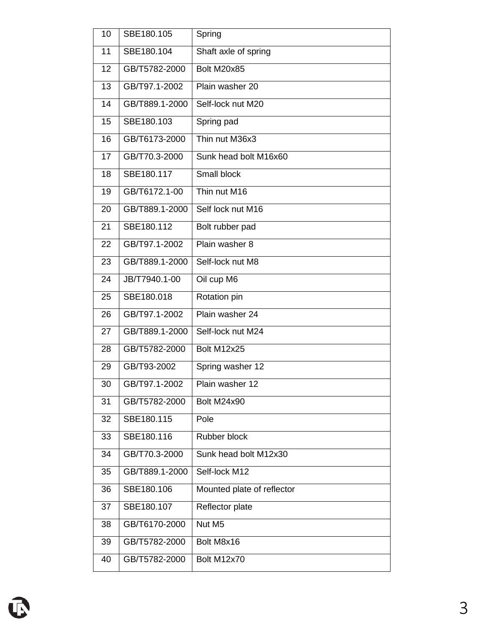| 10 | SBE180.105     | Spring                     |
|----|----------------|----------------------------|
| 11 | SBE180.104     | Shaft axle of spring       |
| 12 | GB/T5782-2000  | Bolt M20x85                |
| 13 | GB/T97.1-2002  | Plain washer 20            |
| 14 | GB/T889.1-2000 | Self-lock nut M20          |
| 15 | SBE180.103     | Spring pad                 |
| 16 | GB/T6173-2000  | Thin nut M36x3             |
| 17 | GB/T70.3-2000  | Sunk head bolt M16x60      |
| 18 | SBE180.117     | Small block                |
| 19 | GB/T6172.1-00  | Thin nut M16               |
| 20 | GB/T889.1-2000 | Self lock nut M16          |
| 21 | SBE180.112     | Bolt rubber pad            |
| 22 | GB/T97.1-2002  | Plain washer 8             |
| 23 | GB/T889.1-2000 | Self-lock nut M8           |
| 24 | JB/T7940.1-00  | Oil cup M6                 |
| 25 | SBE180.018     | Rotation pin               |
| 26 | GB/T97.1-2002  | Plain washer 24            |
| 27 | GB/T889.1-2000 | Self-lock nut M24          |
| 28 | GB/T5782-2000  | Bolt M12x25                |
| 29 | GB/T93-2002    | Spring washer 12           |
| 30 | GB/T97.1-2002  | Plain washer 12            |
| 31 | GB/T5782-2000  | Bolt M24x90                |
| 32 | SBE180.115     | Pole                       |
| 33 | SBE180.116     | Rubber block               |
| 34 | GB/T70.3-2000  | Sunk head bolt M12x30      |
| 35 | GB/T889.1-2000 | Self-lock M12              |
| 36 | SBE180.106     | Mounted plate of reflector |
| 37 | SBE180.107     | Reflector plate            |
| 38 | GB/T6170-2000  | Nut M5                     |
| 39 | GB/T5782-2000  | Bolt M8x16                 |
| 40 | GB/T5782-2000  | Bolt M12x70                |
|    |                |                            |

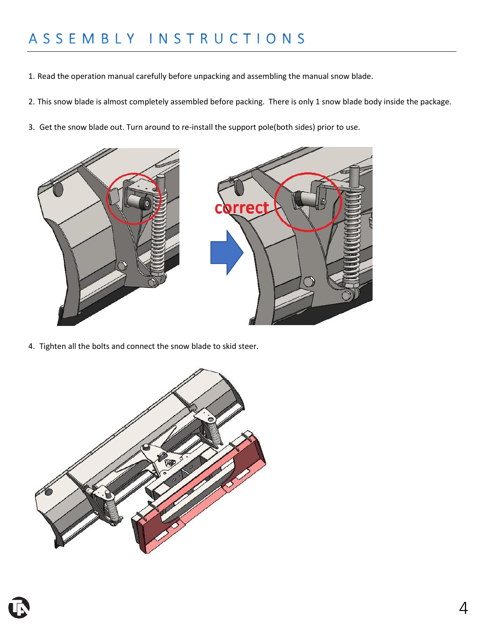### ASSEMBLY INSTRUCTIONS

- 1. Read the operation manual carefully before unpacking and assembling the manual snow blade.
- 2. This snow blade is almost completely assembled before packing. There is only 1 snow blade body inside the package.
- 3. Get the snow blade out. Turn around to re-install the support pole(both sides) prior to use.



4. Tighten all the bolts and connect the snow blade to skid steer.